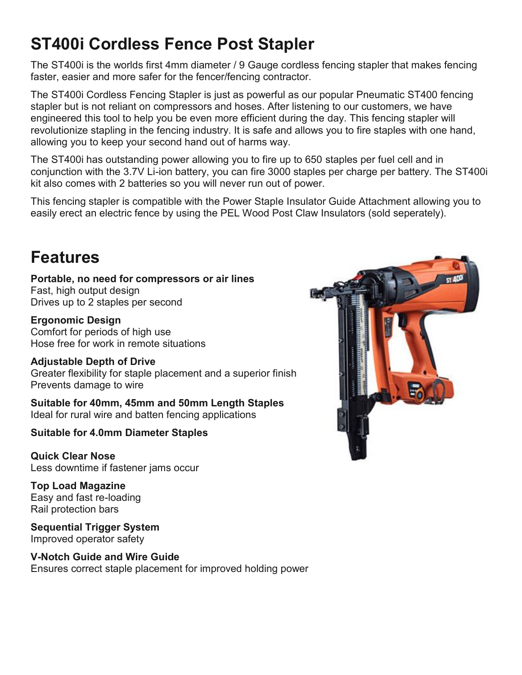# **ST400i Cordless Fence Post Stapler**

The ST400i is the worlds first 4mm diameter / 9 Gauge cordless fencing stapler that makes fencing faster, easier and more safer for the fencer/fencing contractor.

The ST400i Cordless Fencing Stapler is just as powerful as our popular Pneumatic ST400 fencing stapler but is not reliant on compressors and hoses. After listening to our customers, we have engineered this tool to help you be even more efficient during the day. This fencing stapler will revolutionize stapling in the fencing industry. It is safe and allows you to fire staples with one hand, allowing you to keep your second hand out of harms way.

The ST400i has outstanding power allowing you to fire up to 650 staples per fuel cell and in conjunction with the 3.7V Li-ion battery, you can fire 3000 staples per charge per battery. The ST400i kit also comes with 2 batteries so you will never run out of power.

This fencing stapler is compatible with the Power Staple Insulator Guide Attachment allowing you to easily erect an electric fence by using the PEL Wood Post Claw Insulators (sold seperately).

## **Features**

**Portable, no need for compressors or air lines** Fast, high output design Drives up to 2 staples per second

**Ergonomic Design** Comfort for periods of high use Hose free for work in remote situations

#### **Adjustable Depth of Drive**

Greater flexibility for staple placement and a superior finish Prevents damage to wire

**Suitable for 40mm, 45mm and 50mm Length Staples** Ideal for rural wire and batten fencing applications

#### **Suitable for 4.0mm Diameter Staples**

**Quick Clear Nose** Less downtime if fastener jams occur

**Top Load Magazine** Easy and fast re-loading Rail protection bars

**Sequential Trigger System** Improved operator safety

**V-Notch Guide and Wire Guide** Ensures correct staple placement for improved holding power

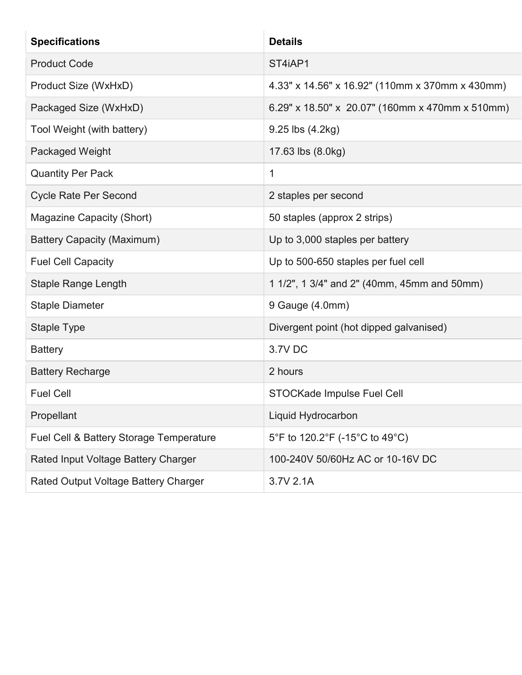| <b>Specifications</b>                   | <b>Details</b>                                  |
|-----------------------------------------|-------------------------------------------------|
| <b>Product Code</b>                     | ST4iAP1                                         |
| Product Size (WxHxD)                    | 4.33" x 14.56" x 16.92" (110mm x 370mm x 430mm) |
| Packaged Size (WxHxD)                   | 6.29" x 18.50" x 20.07" (160mm x 470mm x 510mm) |
| Tool Weight (with battery)              | 9.25 lbs (4.2kg)                                |
| <b>Packaged Weight</b>                  | 17.63 lbs (8.0kg)                               |
| <b>Quantity Per Pack</b>                | $\mathbf{1}$                                    |
| <b>Cycle Rate Per Second</b>            | 2 staples per second                            |
| Magazine Capacity (Short)               | 50 staples (approx 2 strips)                    |
| <b>Battery Capacity (Maximum)</b>       | Up to 3,000 staples per battery                 |
| <b>Fuel Cell Capacity</b>               | Up to 500-650 staples per fuel cell             |
| <b>Staple Range Length</b>              | 1 1/2", 1 3/4" and 2" (40mm, 45mm and 50mm)     |
| <b>Staple Diameter</b>                  | 9 Gauge (4.0mm)                                 |
| Staple Type                             | Divergent point (hot dipped galvanised)         |
| <b>Battery</b>                          | 3.7V DC                                         |
| <b>Battery Recharge</b>                 | 2 hours                                         |
| <b>Fuel Cell</b>                        | STOCKade Impulse Fuel Cell                      |
| Propellant                              | Liquid Hydrocarbon                              |
| Fuel Cell & Battery Storage Temperature | 5°F to 120.2°F (-15°C to 49°C)                  |
| Rated Input Voltage Battery Charger     | 100-240V 50/60Hz AC or 10-16V DC                |
| Rated Output Voltage Battery Charger    | 3.7V 2.1A                                       |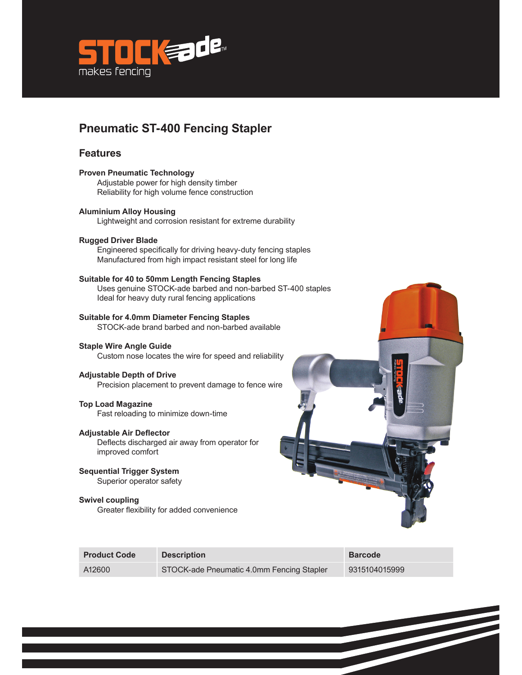

## **Pneumatic ST-400 Fencing Stapler**

#### **Features**

### **Proven Pneumatic Technology**  Adjustable power for high density timber Reliability for high volume fence construction **Aluminium Alloy Housing**  Lightweight and corrosion resistant for extreme durability **Rugged Driver Blade**  Engineered specifically for driving heavy-duty fencing staples Manufactured from high impact resistant steel for long life **Suitable for 40 to 50mm Length Fencing Staples**  Uses genuine STOCK-ade barbed and non-barbed ST-400 staples Ideal for heavy duty rural fencing applications **Suitable for 4.0mm Diameter Fencing Staples**  STOCK-ade brand barbed and non-barbed available **Staple Wire Angle Guide**  Custom nose locates the wire for speed and reliability **Adjustable Depth of Drive**  Precision placement to prevent damage to fence wire **Top Load Magazine**  Fast reloading to minimize down-time **Adjustable Air Deflector** Deflects discharged air away from operator for improved comfort **Sequential Trigger System**  Superior operator safety **Swivel coupling**  Greater flexibility for added convenience

| <b>Product Code</b> | <b>Description</b>                        | <b>Barcode</b> |
|---------------------|-------------------------------------------|----------------|
| A12600              | STOCK-ade Pneumatic 4.0mm Fencing Stapler | 9315104015999  |